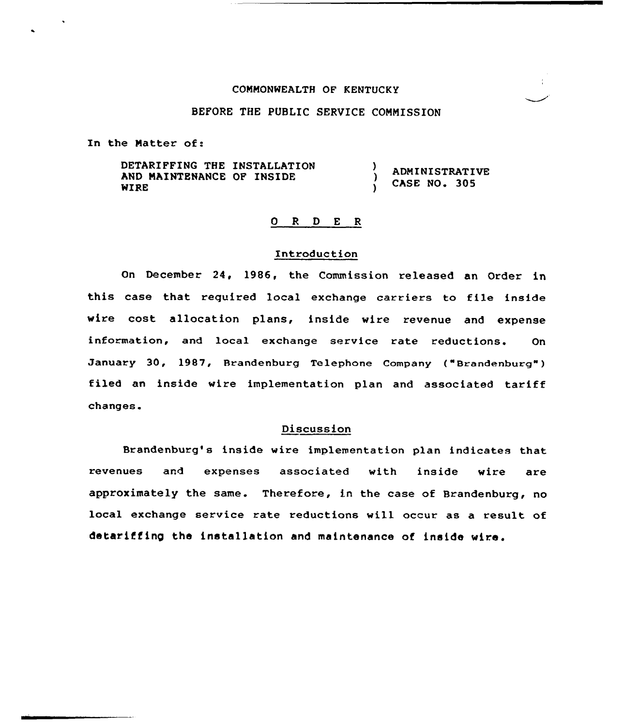### COMMONWEALTH OF KENTUCKY

## BEFORE THE PUBLIC SERVICE COMMISSION

In the Matter of:

DETARIFFING THE INSTALLATION ) ADMINISTRATIVE AND MAINTENANCE OF INSIDE CASE NO. 305 WIRE À

## Q R D E R

#### Introduction

On December 24, 1986, the Commission released an Order in this case that required local exchange carriers to file inside wire cost allocation plans, inside wire revenue and expense information, and local exchange service rate reductions. On January 30, 1987, Brandenburg Telephone Company ("Brandenburg") filed an inside wire implementation plan and associated tariff changes.

#### Discussion

Brandenburg's inside wire implementation plan indicates that revenues and expenses associated with inside wire are approximately the same. Therefore, in the case of Brandenburg, no local exchange service rate reductions will occur as a result of detariffing the installation and maintenance of inside wire.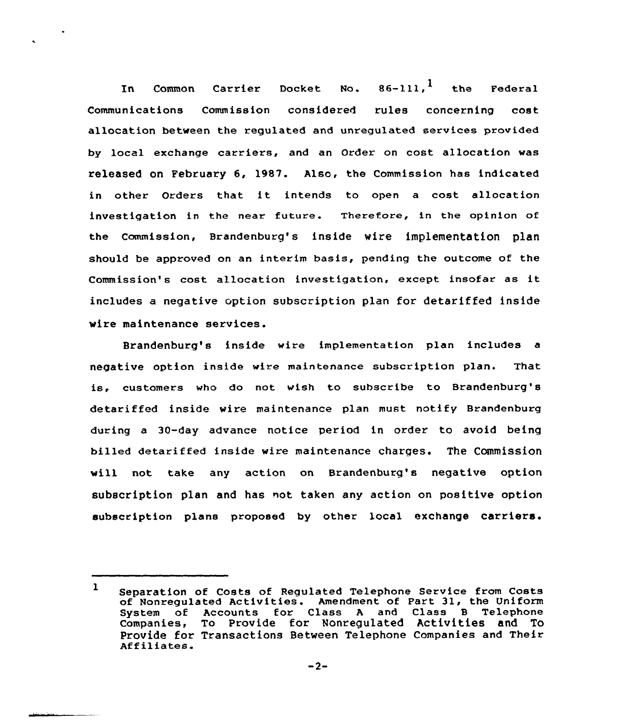In Common Carrier Docket No.  $86-111$ , the Federal Communications Commission considered rules concerning cost allocation between the xegulated and unregulated services provided by local exchange carriers, and an Order on cost allocation was released on February 6, 1987. Also, the Commission has indicated in other Ordexs that it intends to open <sup>a</sup> cost allocation investigation in the near future. Therefore, in the opinion of the Commission, Brandenburq's inside wire implementation plan should be approved on an interim basis, pending the outcome of the Commission's cost allocation investigation, except insofar as it includes a negative option subscription plan for detariffed inside wire maintenance services.

Brandenburg's inside wire implementation plan includes a negative option inside wire maintenance subscription plan. That is, customers who do not wish to subscxibe to Brandenburg's detariffed inside wire maintenance plan must notify Brandenburg during a 30-day advance notice period in order to avoid being billed detaxiffed inside wixe maintenance charges. The Commission will not take any action on Brandenburg's negative option subscription plan and has not taken any action on positive option subscription plans pxoposed by other local exchange carriers.

<sup>1</sup> Separation of Costs of Regulated Telephone Service from Costs of Nonregulated Activities. Amendment of Part 31, the Uniform System of Accounts fox Class <sup>A</sup> and Class B Telephone companies, To provide for Nonregulated Activities and To Provide for Transactions Between Telephone Companies and Their<br>Affiliates.